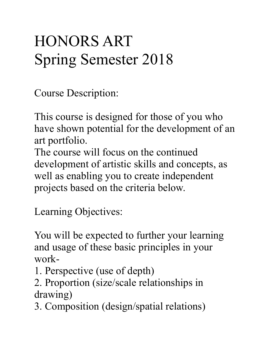## HONORS ART Spring Semester 2018

Course Description:

This course is designed for those of you who have shown potential for the development of an art portfolio.

The course will focus on the continued development of artistic skills and concepts, as well as enabling you to create independent projects based on the criteria below.

Learning Objectives:

You will be expected to further your learning and usage of these basic principles in your work-

- 1. Perspective (use of depth)
- 2. Proportion (size/scale relationships in drawing)
- 3. Composition (design/spatial relations)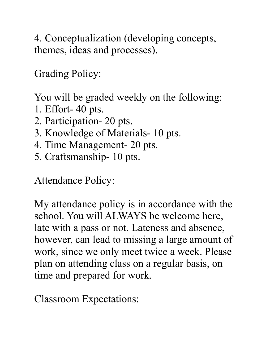4. Conceptualization (developing concepts, themes, ideas and processes).

Grading Policy:

You will be graded weekly on the following:

- 1. Effort- 40 pts.
- 2. Participation- 20 pts.
- 3. Knowledge of Materials- 10 pts.
- 4. Time Management- 20 pts.
- 5. Craftsmanship- 10 pts.

Attendance Policy:

My attendance policy is in accordance with the school. You will ALWAYS be welcome here, late with a pass or not. Lateness and absence, however, can lead to missing a large amount of work, since we only meet twice a week. Please plan on attending class on a regular basis, on time and prepared for work.

Classroom Expectations: